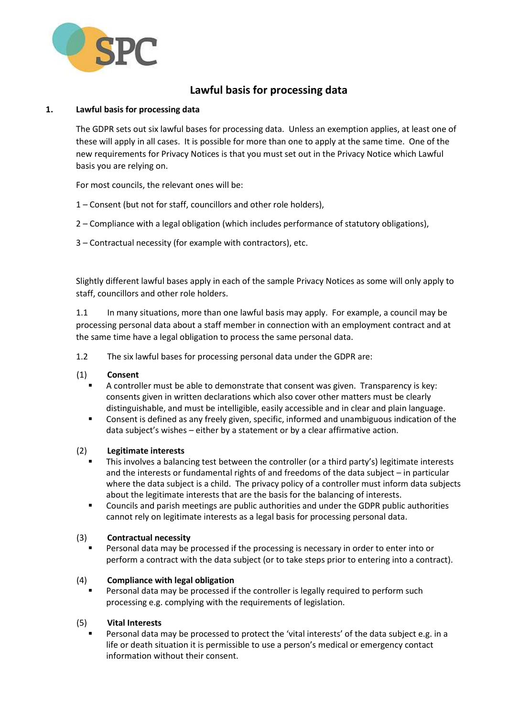

# **Lawful basis for processing data**

## **1. Lawful basis for processing data**

The GDPR sets out six lawful bases for processing data. Unless an exemption applies, at least one of these will apply in all cases. It is possible for more than one to apply at the same time. One of the new requirements for Privacy Notices is that you must set out in the Privacy Notice which Lawful basis you are relying on.

For most councils, the relevant ones will be:

- 1 Consent (but not for staff, councillors and other role holders),
- 2 Compliance with a legal obligation (which includes performance of statutory obligations),
- 3 Contractual necessity (for example with contractors), etc.

Slightly different lawful bases apply in each of the sample Privacy Notices as some will only apply to staff, councillors and other role holders.

1.1 In many situations, more than one lawful basis may apply. For example, a council may be processing personal data about a staff member in connection with an employment contract and at the same time have a legal obligation to process the same personal data.

1.2 The six lawful bases for processing personal data under the GDPR are:

## (1) **Consent**

- A controller must be able to demonstrate that consent was given. Transparency is key: consents given in written declarations which also cover other matters must be clearly distinguishable, and must be intelligible, easily accessible and in clear and plain language.
- Consent is defined as any freely given, specific, informed and unambiguous indication of the data subject's wishes – either by a statement or by a clear affirmative action.

## (2) **Legitimate interests**

- This involves a balancing test between the controller (or a third party's) legitimate interests and the interests or fundamental rights of and freedoms of the data subject – in particular where the data subject is a child. The privacy policy of a controller must inform data subjects about the legitimate interests that are the basis for the balancing of interests.
- Councils and parish meetings are public authorities and under the GDPR public authorities cannot rely on legitimate interests as a legal basis for processing personal data.

## (3) **Contractual necessity**

 Personal data may be processed if the processing is necessary in order to enter into or perform a contract with the data subject (or to take steps prior to entering into a contract).

## (4) **Compliance with legal obligation**

 Personal data may be processed if the controller is legally required to perform such processing e.g. complying with the requirements of legislation.

## (5) **Vital Interests**

 Personal data may be processed to protect the 'vital interests' of the data subject e.g. in a life or death situation it is permissible to use a person's medical or emergency contact information without their consent.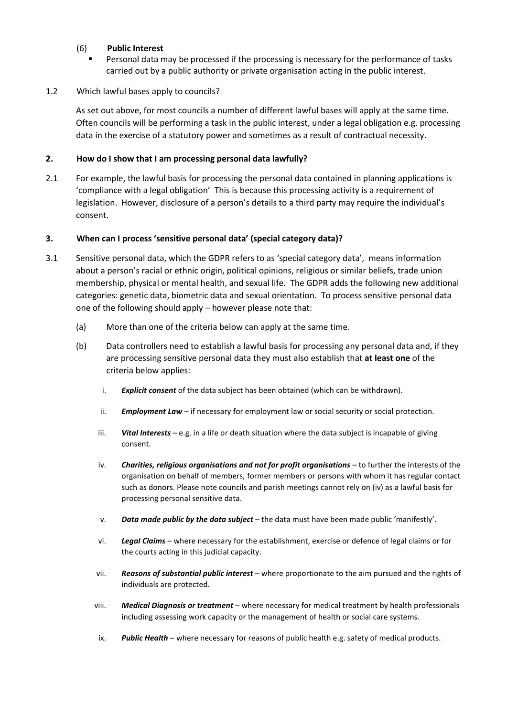## (6) **Public Interest**

 Personal data may be processed if the processing is necessary for the performance of tasks carried out by a public authority or private organisation acting in the public interest.

#### 1.2 Which lawful bases apply to councils?

As set out above, for most councils a number of different lawful bases will apply at the same time. Often councils will be performing a task in the public interest, under a legal obligation e.g. processing data in the exercise of a statutory power and sometimes as a result of contractual necessity.

#### **2. How do I show that I am processing personal data lawfully?**

2.1 For example, the lawful basis for processing the personal data contained in planning applications is 'compliance with a legal obligation' This is because this processing activity is a requirement of legislation. However, disclosure of a person's details to a third party may require the individual's consent.

#### **3. When can I process 'sensitive personal data' (special category data)?**

- 3.1 Sensitive personal data, which the GDPR refers to as 'special category data', means information about a person's racial or ethnic origin, political opinions, religious or similar beliefs, trade union membership, physical or mental health, and sexual life. The GDPR adds the following new additional categories: genetic data, biometric data and sexual orientation. To process sensitive personal data one of the following should apply – however please note that:
	- (a) More than one of the criteria below can apply at the same time.
	- (b) Data controllers need to establish a lawful basis for processing any personal data and, if they are processing sensitive personal data they must also establish that **at least one** of the criteria below applies:
		- i. *Explicit consent* of the data subject has been obtained (which can be withdrawn).
		- ii. *Employment Law* if necessary for employment law or social security or social protection.
		- iii. *Vital Interests* e.g. in a life or death situation where the data subject is incapable of giving consent.
		- iv. *Charities, religious organisations and not for profit organisations* to further the interests of the organisation on behalf of members, former members or persons with whom it has regular contact such as donors. Please note councils and parish meetings cannot rely on (iv) as a lawful basis for processing personal sensitive data.
		- v. *Data made public by the data subject* the data must have been made public 'manifestly'.
		- vi. *Legal Claims* where necessary for the establishment, exercise or defence of legal claims or for the courts acting in this judicial capacity.
		- vii. *Reasons of substantial public interest* where proportionate to the aim pursued and the rights of individuals are protected.
		- viii. *Medical Diagnosis or treatment* where necessary for medical treatment by health professionals including assessing work capacity or the management of health or social care systems.
		- ix. *Public Health* where necessary for reasons of public health e.g. safety of medical products.